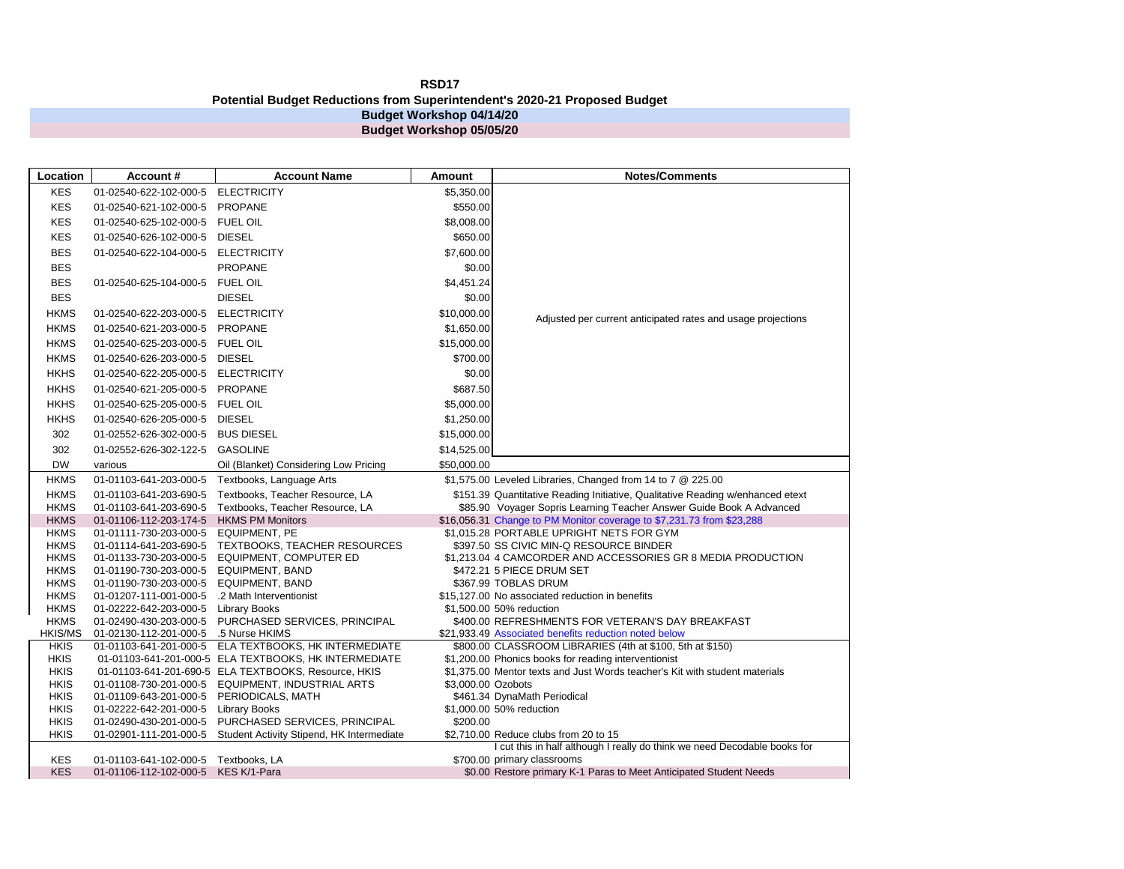## **RSD17 Potential Budget Reductions from Superintendent's 2020-21 Proposed Budget Budget Workshop 04/14/20 Budget Workshop 05/05/20**

| <b>Location</b>            | Account#                                         | <b>Account Name</b>                                   | <b>Amount</b>      | <b>Notes/Comments</b>                                                          |
|----------------------------|--------------------------------------------------|-------------------------------------------------------|--------------------|--------------------------------------------------------------------------------|
| <b>KES</b>                 | 01-02540-622-102-000-5                           | <b>ELECTRICITY</b>                                    | \$5,350.00         |                                                                                |
| <b>KES</b>                 | 01-02540-621-102-000-5                           | <b>PROPANE</b>                                        | \$550.00           |                                                                                |
| <b>KES</b>                 | 01-02540-625-102-000-5                           | <b>FUEL OIL</b>                                       | \$8,008.00         |                                                                                |
| <b>KES</b>                 | 01-02540-626-102-000-5                           | <b>DIESEL</b>                                         | \$650.00           |                                                                                |
| <b>BES</b>                 | 01-02540-622-104-000-5                           | <b>ELECTRICITY</b>                                    | \$7,600.00         |                                                                                |
| <b>BES</b>                 |                                                  | <b>PROPANE</b>                                        | \$0.00             |                                                                                |
| <b>BES</b>                 | 01-02540-625-104-000-5                           | <b>FUEL OIL</b>                                       | \$4,451.24         |                                                                                |
| <b>BES</b>                 |                                                  | <b>DIESEL</b>                                         | \$0.00             |                                                                                |
| <b>HKMS</b>                | 01-02540-622-203-000-5                           | <b>ELECTRICITY</b>                                    | \$10,000.00        |                                                                                |
| <b>HKMS</b>                | 01-02540-621-203-000-5                           | <b>PROPANE</b>                                        | \$1,650.00         | Adjusted per current anticipated rates and usage projections                   |
|                            |                                                  |                                                       |                    |                                                                                |
| <b>HKMS</b>                | 01-02540-625-203-000-5                           | <b>FUEL OIL</b>                                       | \$15,000.00        |                                                                                |
| <b>HKMS</b>                | 01-02540-626-203-000-5                           | <b>DIESEL</b>                                         | \$700.00           |                                                                                |
| <b>HKHS</b>                | 01-02540-622-205-000-5                           | <b>ELECTRICITY</b>                                    | \$0.00             |                                                                                |
| <b>HKHS</b>                | 01-02540-621-205-000-5                           | <b>PROPANE</b>                                        | \$687.50           |                                                                                |
| <b>HKHS</b>                | 01-02540-625-205-000-5                           | <b>FUEL OIL</b>                                       | \$5,000.00         |                                                                                |
| <b>HKHS</b>                | 01-02540-626-205-000-5                           | <b>DIESEL</b>                                         | \$1,250.00         |                                                                                |
| 302                        | 01-02552-626-302-000-5                           | <b>BUS DIESEL</b>                                     | \$15,000.00        |                                                                                |
| 302                        | 01-02552-626-302-122-5                           | <b>GASOLINE</b>                                       | \$14,525.00        |                                                                                |
| <b>DW</b>                  | various                                          | Oil (Blanket) Considering Low Pricing                 | \$50,000.00        |                                                                                |
| <b>HKMS</b>                | 01-01103-641-203-000-5                           | Textbooks, Language Arts                              |                    | \$1,575.00 Leveled Libraries, Changed from 14 to 7 @ 225.00                    |
| <b>HKMS</b>                | 01-01103-641-203-690-5                           | Textbooks, Teacher Resource, LA                       |                    | \$151.39 Quantitative Reading Initiative, Qualitative Reading w/enhanced etext |
| <b>HKMS</b>                | 01-01103-641-203-690-5                           | Textbooks, Teacher Resource, LA                       |                    | \$85.90 Voyager Sopris Learning Teacher Answer Guide Book A Advanced           |
| <b>HKMS</b>                | 01-01106-112-203-174-5                           | <b>HKMS PM Monitors</b>                               |                    | \$16,056.31 Change to PM Monitor coverage to \$7,231.73 from \$23,288          |
| <b>HKMS</b>                | 01-01111-730-203-000-5                           | <b>EQUIPMENT, PE</b>                                  |                    | \$1,015.28 PORTABLE UPRIGHT NETS FOR GYM                                       |
| <b>HKMS</b>                | 01-01114-641-203-690-5                           | TEXTBOOKS, TEACHER RESOURCES                          |                    | \$397.50 SS CIVIC MIN-Q RESOURCE BINDER                                        |
| <b>HKMS</b>                | 01-01133-730-203-000-5                           | EQUIPMENT, COMPUTER ED                                |                    | \$1,213.04 4 CAMCORDER AND ACCESSORIES GR 8 MEDIA PRODUCTION                   |
| <b>HKMS</b>                | 01-01190-730-203-000-5                           | <b>EQUIPMENT, BAND</b>                                |                    | \$472.21 5 PIECE DRUM SET                                                      |
| <b>HKMS</b><br><b>HKMS</b> | 01-01190-730-203-000-5<br>01-01207-111-001-000-5 | <b>EQUIPMENT, BAND</b><br>.2 Math Interventionist     |                    | \$367.99 TOBLAS DRUM<br>\$15,127.00 No associated reduction in benefits        |
| <b>HKMS</b>                | 01-02222-642-203-000-5                           | <b>Library Books</b>                                  |                    | \$1,500.00 50% reduction                                                       |
| <b>HKMS</b>                | 01-02490-430-203-000-5                           | PURCHASED SERVICES, PRINCIPAL                         |                    | \$400.00 REFRESHMENTS FOR VETERAN'S DAY BREAKFAST                              |
| <b>HKIS/MS</b>             | 01-02130-112-201-000-5                           | .5 Nurse HKIMS                                        |                    | \$21,933.49 Associated benefits reduction noted below                          |
| <b>HKIS</b>                | 01-01103-641-201-000-5                           | ELA TEXTBOOKS, HK INTERMEDIATE                        |                    | \$800.00 CLASSROOM LIBRARIES (4th at \$100, 5th at \$150)                      |
| <b>HKIS</b>                |                                                  | 01-01103-641-201-000-5 ELA TEXTBOOKS, HK INTERMEDIATE |                    | \$1,200.00 Phonics books for reading interventionist                           |
| <b>HKIS</b>                |                                                  | 01-01103-641-201-690-5 ELA TEXTBOOKS, Resource, HKIS  |                    | \$1.375.00 Mentor texts and Just Words teacher's Kit with student materials    |
| <b>HKIS</b>                | 01-01108-730-201-000-5                           | <b>EQUIPMENT, INDUSTRIAL ARTS</b>                     | \$3,000.00 Ozobots |                                                                                |
| <b>HKIS</b>                | 01-01109-643-201-000-5                           | PERIODICALS, MATH                                     |                    | \$461.34 DynaMath Periodical                                                   |
| <b>HKIS</b>                | 01-02222-642-201-000-5                           | <b>Library Books</b>                                  |                    | \$1,000.00 50% reduction                                                       |
| <b>HKIS</b>                | 01-02490-430-201-000-5                           | PURCHASED SERVICES, PRINCIPAL                         | \$200.00           |                                                                                |
| <b>HKIS</b>                | 01-02901-111-201-000-5                           | Student Activity Stipend, HK Intermediate             |                    | \$2,710.00 Reduce clubs from 20 to 15                                          |
|                            |                                                  |                                                       |                    | I cut this in half although I really do think we need Decodable books for      |
| <b>KES</b>                 | 01-01103-641-102-000-5                           | Textbooks, LA                                         |                    | \$700.00 primary classrooms                                                    |
| <b>KES</b>                 | 01-01106-112-102-000-5                           | KES K/1-Para                                          |                    | \$0.00 Restore primary K-1 Paras to Meet Anticipated Student Needs             |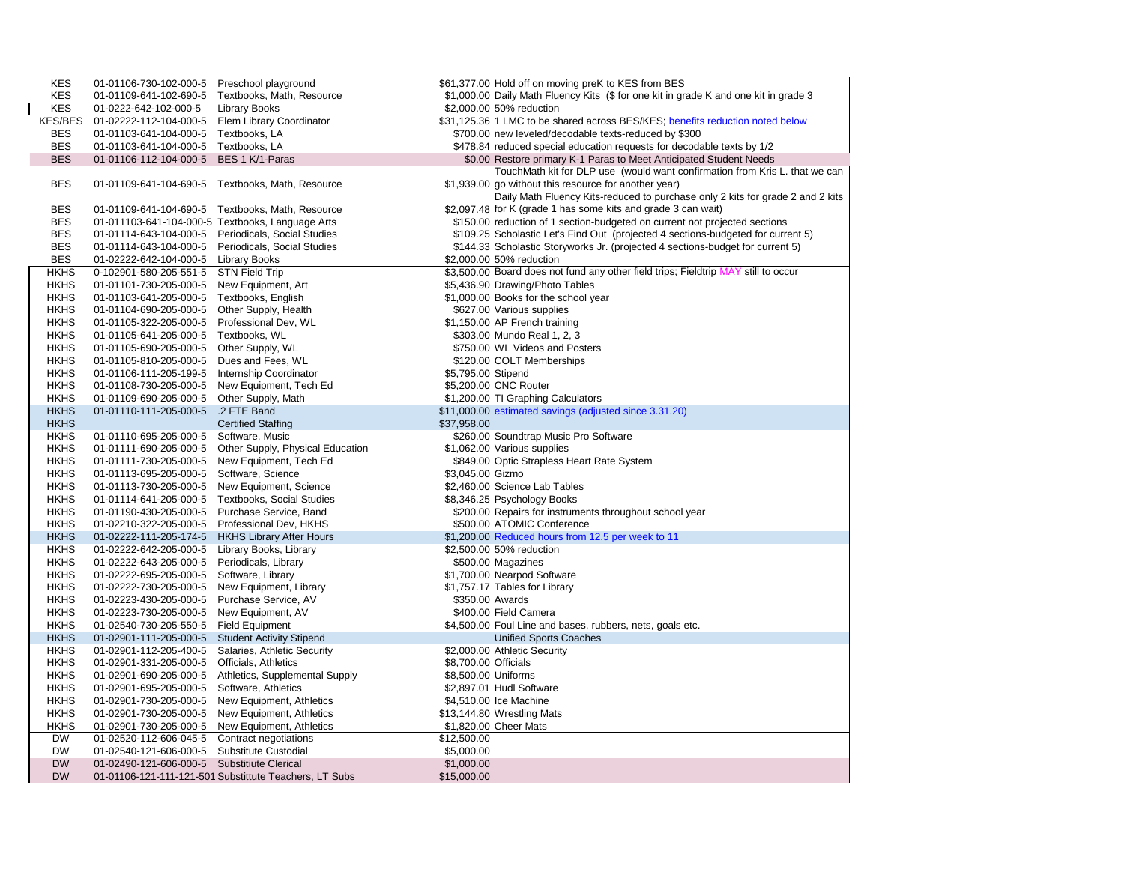| <b>KES</b>     | 01-01106-730-102-000-5                           | Preschool playground                                   |                      | \$61,377.00 Hold off on moving preK to KES from BES                                  |  |  |
|----------------|--------------------------------------------------|--------------------------------------------------------|----------------------|--------------------------------------------------------------------------------------|--|--|
| <b>KES</b>     | 01-01109-641-102-690-5                           | Textbooks, Math, Resource                              |                      | \$1,000.00 Daily Math Fluency Kits (\$ for one kit in grade K and one kit in grade 3 |  |  |
| <b>KES</b>     | 01-0222-642-102-000-5                            | <b>Library Books</b>                                   |                      | \$2,000.00 50% reduction                                                             |  |  |
| <b>KES/BES</b> | 01-02222-112-104-000-5                           | Elem Library Coordinator                               |                      | \$31,125.36 1 LMC to be shared across BES/KES; benefits reduction noted below        |  |  |
| <b>BES</b>     | 01-01103-641-104-000-5                           | Textbooks, LA                                          |                      | \$700.00 new leveled/decodable texts-reduced by \$300                                |  |  |
| <b>BES</b>     | 01-01103-641-104-000-5                           | Textbooks, LA                                          |                      | \$478.84 reduced special education requests for decodable texts by 1/2               |  |  |
| <b>BES</b>     | 01-01106-112-104-000-5                           | BES 1 K/1-Paras                                        |                      | \$0.00 Restore primary K-1 Paras to Meet Anticipated Student Needs                   |  |  |
|                |                                                  |                                                        |                      | TouchMath kit for DLP use (would want confirmation from Kris L. that we can          |  |  |
| <b>BES</b>     |                                                  | 01-01109-641-104-690-5 Textbooks, Math, Resource       |                      | \$1,939.00 go without this resource for another year)                                |  |  |
|                |                                                  |                                                        |                      | Daily Math Fluency Kits-reduced to purchase only 2 kits for grade 2 and 2 kits       |  |  |
| <b>BES</b>     | 01-01109-641-104-690-5                           | Textbooks, Math, Resource                              |                      | \$2,097.48 for K (grade 1 has some kits and grade 3 can wait)                        |  |  |
| BES            | 01-011103-641-104-000-5 Textbooks, Language Arts |                                                        |                      | \$150.00 reduction of 1 section-budgeted on current not projected sections           |  |  |
| <b>BES</b>     | 01-01114-643-104-000-5                           | Periodicals, Social Studies                            |                      | \$109.25 Scholastic Let's Find Out (projected 4 sections-budgeted for current 5)     |  |  |
| <b>BES</b>     | 01-01114-643-104-000-5                           | Periodicals, Social Studies                            |                      | \$144.33 Scholastic Storyworks Jr. (projected 4 sections-budget for current 5)       |  |  |
| <b>BES</b>     | 01-02222-642-104-000-5                           | <b>Library Books</b>                                   |                      | \$2,000.00 50% reduction                                                             |  |  |
| <b>HKHS</b>    |                                                  |                                                        |                      | \$3,500.00 Board does not fund any other field trips; Fieldtrip MAY still to occur   |  |  |
| <b>HKHS</b>    | 0-102901-580-205-551-5<br>01-01101-730-205-000-5 | <b>STN Field Trip</b><br>New Equipment, Art            |                      | \$5,436.90 Drawing/Photo Tables                                                      |  |  |
| <b>HKHS</b>    |                                                  |                                                        |                      |                                                                                      |  |  |
|                | 01-01103-641-205-000-5                           | Textbooks, English                                     |                      | \$1,000.00 Books for the school year                                                 |  |  |
| <b>HKHS</b>    | 01-01104-690-205-000-5                           | Other Supply, Health                                   |                      | \$627.00 Various supplies                                                            |  |  |
| <b>HKHS</b>    | 01-01105-322-205-000-5                           | Professional Dev, WL                                   |                      | \$1,150.00 AP French training                                                        |  |  |
| <b>HKHS</b>    | 01-01105-641-205-000-5                           | Textbooks, WL                                          |                      | \$303.00 Mundo Real 1, 2, 3                                                          |  |  |
| <b>HKHS</b>    | 01-01105-690-205-000-5                           | Other Supply, WL                                       |                      | \$750.00 WL Videos and Posters                                                       |  |  |
| <b>HKHS</b>    | 01-01105-810-205-000-5                           | Dues and Fees, WL                                      |                      | \$120.00 COLT Memberships                                                            |  |  |
| <b>HKHS</b>    | 01-01106-111-205-199-5                           | Internship Coordinator                                 | \$5,795.00 Stipend   |                                                                                      |  |  |
| <b>HKHS</b>    | 01-01108-730-205-000-5                           | New Equipment, Tech Ed                                 |                      | \$5,200.00 CNC Router                                                                |  |  |
| <b>HKHS</b>    | 01-01109-690-205-000-5                           | Other Supply, Math                                     |                      | \$1,200.00 TI Graphing Calculators                                                   |  |  |
| <b>HKHS</b>    | 01-01110-111-205-000-5                           | .2 FTE Band                                            |                      | \$11,000.00 estimated savings (adjusted since 3.31.20)                               |  |  |
| <b>HKHS</b>    |                                                  | <b>Certified Staffing</b>                              | \$37,958.00          |                                                                                      |  |  |
| <b>HKHS</b>    | 01-01110-695-205-000-5                           | Software, Music                                        |                      | \$260.00 Soundtrap Music Pro Software                                                |  |  |
| <b>HKHS</b>    | 01-01111-690-205-000-5                           | Other Supply, Physical Education                       |                      | \$1,062.00 Various supplies                                                          |  |  |
| <b>HKHS</b>    | 01-01111-730-205-000-5                           | New Equipment, Tech Ed                                 |                      | \$849.00 Optic Strapless Heart Rate System                                           |  |  |
| <b>HKHS</b>    | 01-01113-695-205-000-5                           | Software, Science                                      | \$3,045.00 Gizmo     |                                                                                      |  |  |
| <b>HKHS</b>    | 01-01113-730-205-000-5                           | New Equipment, Science                                 |                      | \$2,460.00 Science Lab Tables                                                        |  |  |
| <b>HKHS</b>    | 01-01114-641-205-000-5                           | <b>Textbooks, Social Studies</b>                       |                      | \$8,346.25 Psychology Books                                                          |  |  |
| <b>HKHS</b>    | 01-01190-430-205-000-5                           | Purchase Service, Band                                 |                      | \$200.00 Repairs for instruments throughout school year                              |  |  |
| <b>HKHS</b>    | 01-02210-322-205-000-5                           | Professional Dev, HKHS                                 |                      | \$500.00 ATOMIC Conference                                                           |  |  |
| <b>HKHS</b>    | 01-02222-111-205-174-5                           | <b>HKHS Library After Hours</b>                        |                      | \$1,200.00 Reduced hours from 12.5 per week to 11                                    |  |  |
| <b>HKHS</b>    | 01-02222-642-205-000-5                           | Library Books, Library                                 |                      | \$2,500.00 50% reduction                                                             |  |  |
| <b>HKHS</b>    | 01-02222-643-205-000-5                           | Periodicals, Library                                   |                      | \$500.00 Magazines                                                                   |  |  |
| <b>HKHS</b>    | 01-02222-695-205-000-5                           | Software, Library                                      |                      | \$1,700.00 Nearpod Software                                                          |  |  |
| <b>HKHS</b>    | 01-02222-730-205-000-5                           | New Equipment, Library                                 |                      | \$1,757.17 Tables for Library                                                        |  |  |
| <b>HKHS</b>    | 01-02223-430-205-000-5                           | Purchase Service, AV                                   | \$350.00 Awards      |                                                                                      |  |  |
| <b>HKHS</b>    | 01-02223-730-205-000-5                           | New Equipment, AV                                      |                      | \$400.00 Field Camera                                                                |  |  |
| <b>HKHS</b>    | 01-02540-730-205-550-5                           | <b>Field Equipment</b>                                 |                      | \$4,500.00 Foul Line and bases, rubbers, nets, goals etc.                            |  |  |
| <b>HKHS</b>    | 01-02901-111-205-000-5                           | <b>Student Activity Stipend</b>                        |                      | <b>Unified Sports Coaches</b>                                                        |  |  |
| <b>HKHS</b>    | 01-02901-112-205-400-5                           | Salaries, Athletic Security                            |                      | \$2,000.00 Athletic Security                                                         |  |  |
| <b>HKHS</b>    | 01-02901-331-205-000-5                           | Officials, Athletics                                   | \$8,700.00 Officials |                                                                                      |  |  |
| <b>HKHS</b>    | 01-02901-690-205-000-5                           | Athletics, Supplemental Supply                         | \$8,500.00 Uniforms  |                                                                                      |  |  |
| <b>HKHS</b>    | 01-02901-695-205-000-5                           | Software, Athletics                                    |                      | \$2,897.01 Hudl Software                                                             |  |  |
| <b>HKHS</b>    | 01-02901-730-205-000-5                           | New Equipment, Athletics                               |                      | \$4,510.00 Ice Machine                                                               |  |  |
| <b>HKHS</b>    | 01-02901-730-205-000-5                           | New Equipment, Athletics                               |                      | \$13,144.80 Wrestling Mats                                                           |  |  |
| <b>HKHS</b>    | 01-02901-730-205-000-5                           | New Equipment, Athletics                               |                      | \$1,820.00 Cheer Mats                                                                |  |  |
| <b>DW</b>      | 01-02520-112-606-045-5                           | Contract negotiations                                  | \$12,500.00          |                                                                                      |  |  |
| <b>DW</b>      | 01-02540-121-606-000-5                           | Substitute Custodial                                   | \$5,000.00           |                                                                                      |  |  |
| <b>DW</b>      | 01-02490-121-606-000-5                           | <b>Substitiute Clerical</b>                            | \$1,000.00           |                                                                                      |  |  |
| <b>DW</b>      |                                                  | 01-01106-121-111-121-501 Substittute Teachers, LT Subs | \$15,000.00          |                                                                                      |  |  |